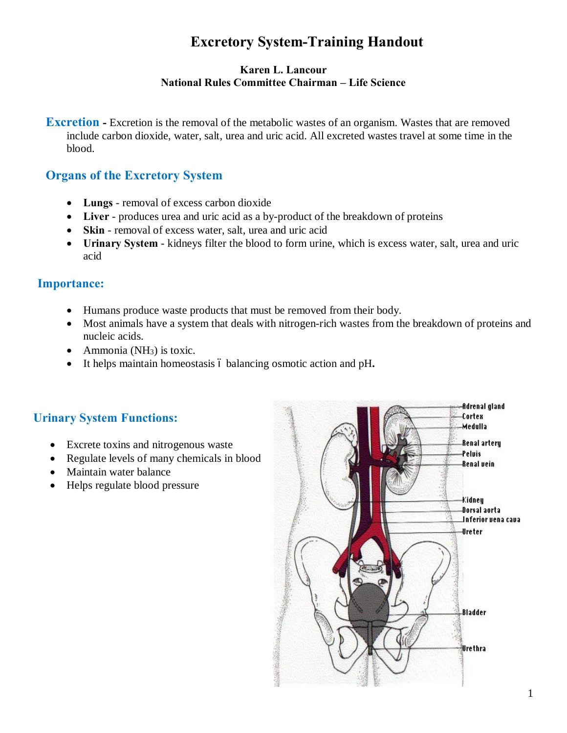# **Excretory System-Training Handout**

#### **Karen L. Lancour National Rules Committee Chairman – Life Science**

**Excretion** - Excretion is the removal of the metabolic wastes of an organism. Wastes that are removed include carbon dioxide, water, salt, urea and uric acid. All excreted wastes travel at some time in the blood.

# **Organs of the Excretory System**

- · **Lungs** removal of excess carbon dioxide
- · **Liver** produces urea and uric acid as a by-product of the breakdown of proteins
- · **Skin** removal of excess water, salt, urea and uric acid
- · **Urinary System** kidneys filter the blood to form urine, which is excess water, salt, urea and uric acid

### **Importance:**

- · Humans produce waste products that must be removed from their body.
- · Most animals have a system that deals with nitrogen-rich wastes from the breakdown of proteins and nucleic acids.
- Ammonia ( $NH<sub>3</sub>$ ) is toxic.
- It helps maintain homeostasis 6 balancing osmotic action and pH.

# **Urinary System Functions:**

- Excrete toxins and nitrogenous waste
- Regulate levels of many chemicals in blood
- Maintain water balance
- Helps regulate blood pressure

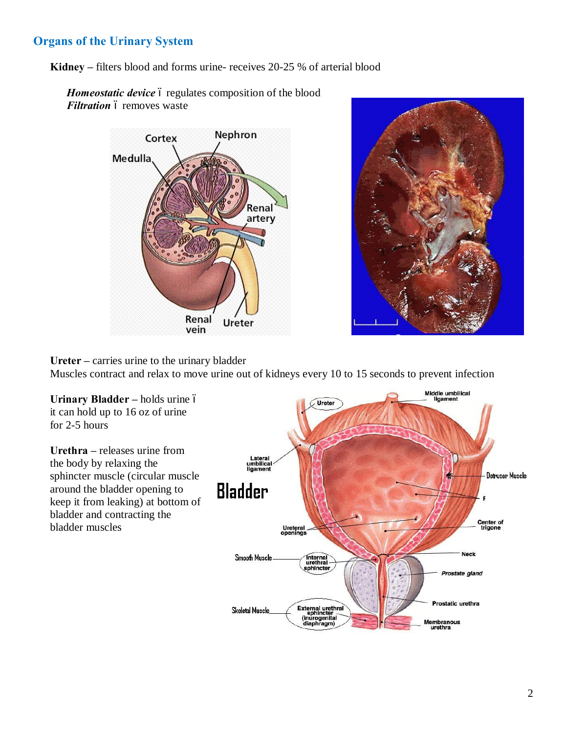# **Organs of the Urinary System**

**Kidney –** filters blood and forms urine- receives 20-25 % of arterial blood

Homeostatic device 6 regulates composition of the blood *Filtration* 6 removes waste





**Ureter –** carries urine to the urinary bladder Muscles contract and relax to move urine out of kidneys every 10 to 15 seconds to prevent infection

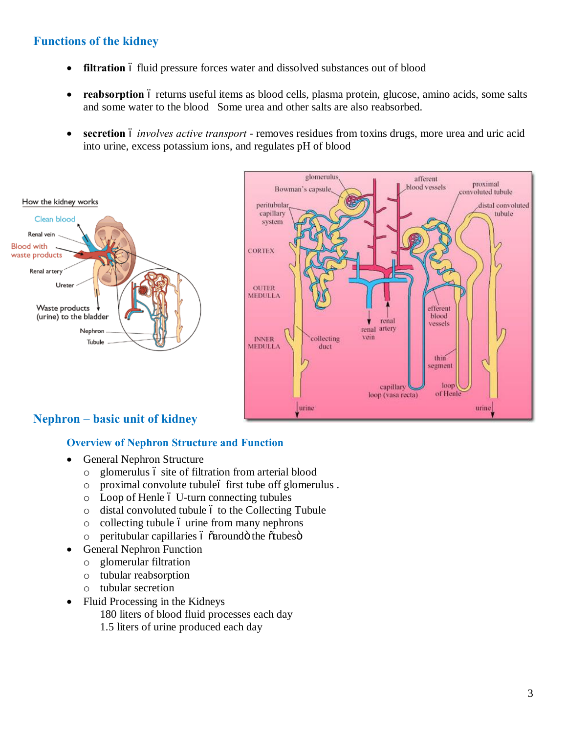### **Functions of the kidney**

- **filtration** 6 fluid pressure forces water and dissolved substances out of blood
- **reabsorption** 6 returns useful items as blood cells, plasma protein, glucose, amino acids, some salts and some water to the blood Some urea and other salts are also reabsorbed.
- secretion 6 *involves active transport* removes residues from toxins drugs, more urea and uric acid into urine, excess potassium ions, and regulates pH of blood





# **Nephron – basic unit of kidney**

#### **Overview of Nephron Structure and Function**

- General Nephron Structure
	- $\circ$  glomerulus  $\circ$  site of filtration from arterial blood
	- o proximal convolute tubule– first tube off glomerulus .
	- $\circ$  Loop of Henle  $\circ$  U-turn connecting tubules
	- $\circ$  distal convoluted tubule  $\circ$  to the Collecting Tubule
	- $\circ$  collecting tubule  $\circ$  urine from many nephrons
	- $\circ$  peritubular capillaries  $\circ$   $\circ$  around  $\circ$  the  $\circ$  tubes  $\circ$
- General Nephron Function
	- o glomerular filtration
	- o tubular reabsorption
	- o tubular secretion
- Fluid Processing in the Kidneys

180 liters of blood fluid processes each day

1.5 liters of urine produced each day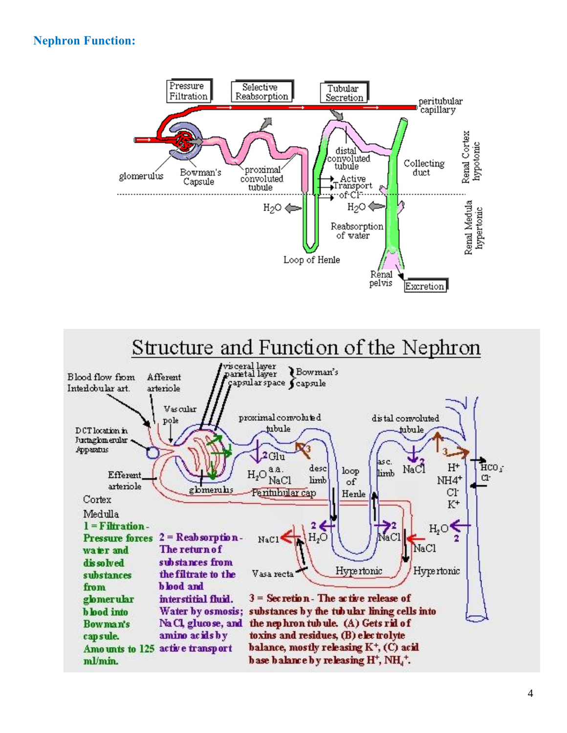# **Nephron Function:**

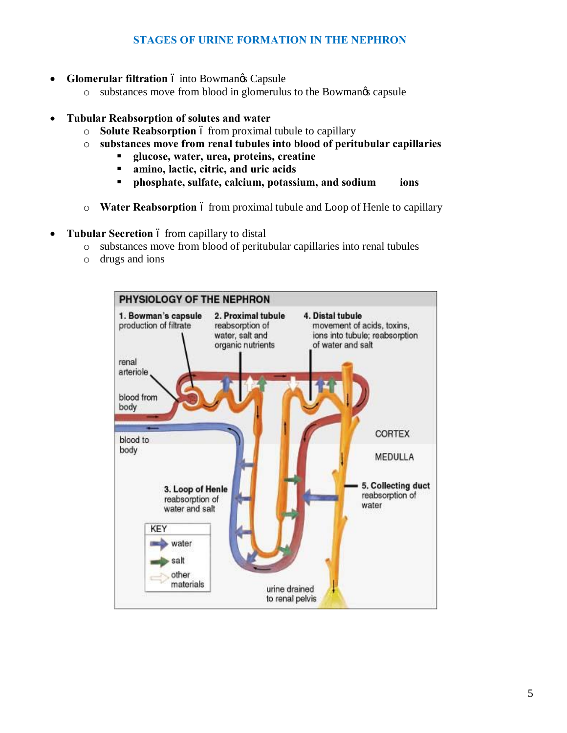### **STAGES OF URINE FORMATION IN THE NEPHRON**

- **Glomerular filtration** 6 into Bowmangs Capsule
	- o substances move from blood in glomerulus to the Bowman's capsule
- · **Tubular Reabsorption of solutes and water** 
	- $\circ$  **Solute Reabsorption** 6 from proximal tubule to capillary
	- o **substances move from renal tubules into blood of peritubular capillaries**
		- ß **glucose, water, urea, proteins, creatine**
		- ß **amino, lactic, citric, and uric acids**
		- ß **phosphate, sulfate, calcium, potassium, and sodium ions**
	- o **Water Reabsorption** 6 from proximal tubule and Loop of Henle to capillary
- **Tubular Secretion** 6 from capillary to distal
	- o substances move from blood of peritubular capillaries into renal tubules
	- o drugs and ions

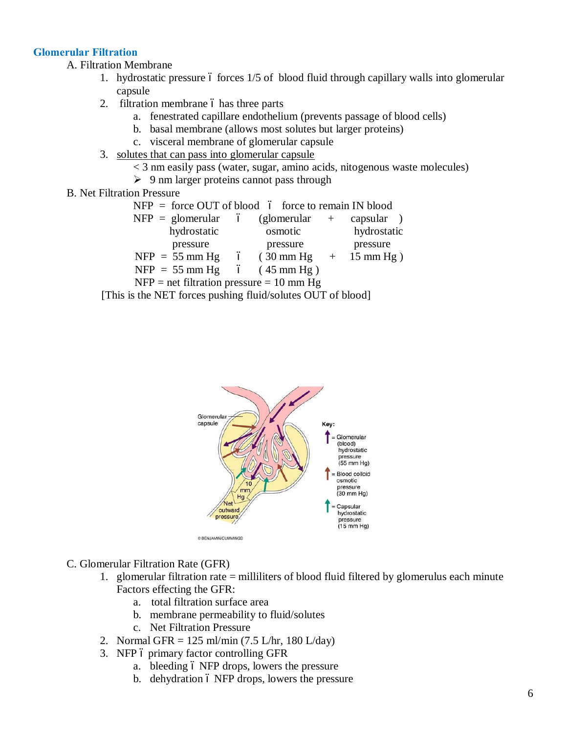#### **Glomerular Filtration**

A. Filtration Membrane

- 1. hydrostatic pressure 6 forces 1/5 of blood fluid through capillary walls into glomerular capsule
- 2. filtration membrane 6 has three parts
	- a. fenestrated capillare endothelium (prevents passage of blood cells)
	- b. basal membrane (allows most solutes but larger proteins)
	- c. visceral membrane of glomerular capsule
- 3. solutes that can pass into glomerular capsule
	- < 3 nm easily pass (water, sugar, amino acids, nitogenous waste molecules)
	- $\geq 9$  nm larger proteins cannot pass through
- B. Net Filtration Pressure

|             | $NFP =$ force OUT of blood $\phi$ force to remain IN blood |             |
|-------------|------------------------------------------------------------|-------------|
|             | $NFP = glomerular$ ó (glomerular + capsular)               |             |
| hydrostatic | osmotic                                                    | hydrostatic |
| pressure    | pressure                                                   | pressure    |
|             | NFP = 55 mm Hg 6 (30 mm Hg + 15 mm Hg)                     |             |
|             | NFP = 55 mm Hg 6 (45 mm Hg)                                |             |
|             | $NFP$ = net filtration pressure = 10 mm Hg                 |             |

[This is the NET forces pushing fluid/solutes OUT of blood]



- C. Glomerular Filtration Rate (GFR)
	- 1. glomerular filtration rate = milliliters of blood fluid filtered by glomerulus each minute Factors effecting the GFR:
		- a. total filtration surface area
		- b. membrane permeability to fluid/solutes
		- c. Net Filtration Pressure
	- 2. Normal GFR = 125 ml/min (7.5 L/hr, 180 L/day)
	- 3. NFP 6 primary factor controlling GFR
		- a. bleeding 6 NFP drops, lowers the pressure
		- b. dehydration 6 NFP drops, lowers the pressure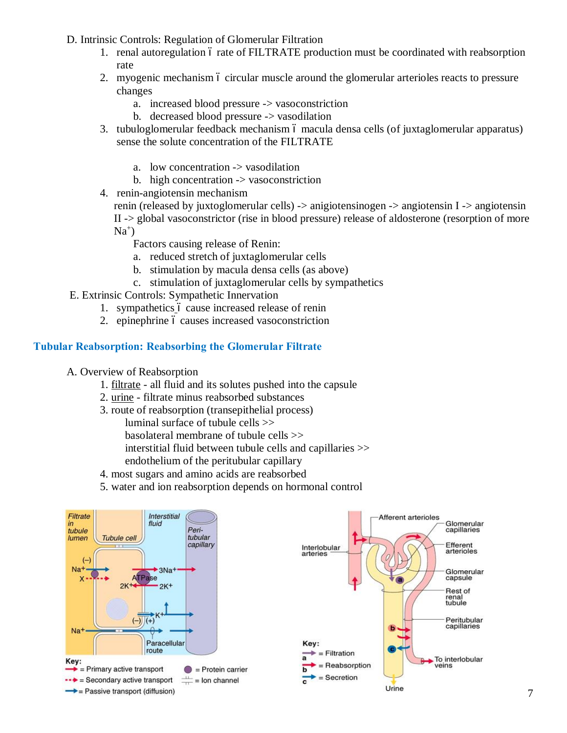- D. Intrinsic Controls: Regulation of Glomerular Filtration
	- 1. renal autoregulation 6 rate of FILTRATE production must be coordinated with reabsorption rate
	- 2. myogenic mechanism 6 circular muscle around the glomerular arterioles reacts to pressure changes
		- a. increased blood pressure -> vasoconstriction
		- b. decreased blood pressure -> vasodilation
	- 3. tubuloglomerular feedback mechanism ó macula densa cells (of juxtaglomerular apparatus) sense the solute concentration of the FILTRATE
		- a. low concentration -> vasodilation
		- b. high concentration -> vasoconstriction
	- 4. renin-angiotensin mechanism

renin (released by juxtoglomerular cells) -> anigiotensinogen -> angiotensin I -> angiotensin II -> global vasoconstrictor (rise in blood pressure) release of aldosterone (resorption of more  $Na<sup>+</sup>$ 

Factors causing release of Renin:

- a. reduced stretch of juxtaglomerular cells
- b. stimulation by macula densa cells (as above)
- c. stimulation of juxtaglomerular cells by sympathetics
- E. Extrinsic Controls: Sympathetic Innervation
	- 1. sympathetics 6 cause increased release of renin
	- 2. epinephrine 6 causes increased vasoconstriction

### **Tubular Reabsorption: Reabsorbing the Glomerular Filtrate**

- A. Overview of Reabsorption
	- 1. filtrate all fluid and its solutes pushed into the capsule
	- 2. urine filtrate minus reabsorbed substances
	- 3. route of reabsorption (transepithelial process)

luminal surface of tubule cells >> basolateral membrane of tubule cells >> interstitial fluid between tubule cells and capillaries >>

- endothelium of the peritubular capillary
- 4. most sugars and amino acids are reabsorbed
- 5. water and ion reabsorption depends on hormonal control

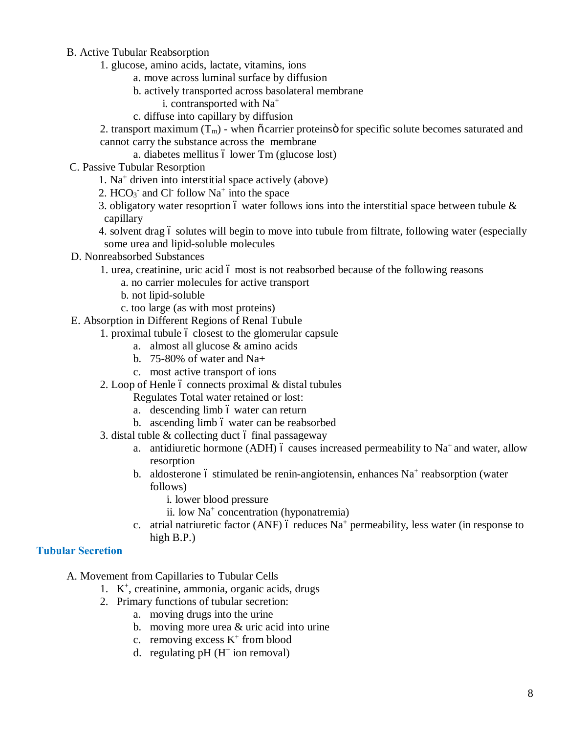#### B. Active Tubular Reabsorption

- 1. glucose, amino acids, lactate, vitamins, ions
	- a. move across luminal surface by diffusion
	- b. actively transported across basolateral membrane
		- i. contransported with Na+
	- c. diffuse into capillary by diffusion

2. transport maximum  $(T_m)$  - when  $\tilde{o}$  carrier proteins  $\tilde{o}$  for specific solute becomes saturated and cannot carry the substance across the membrane

- a. diabetes mellitus ó lower Tm (glucose lost)
- C. Passive Tubular Resorption
	- 1. Na<sup>+</sup> driven into interstitial space actively (above)
	- 2.  $HCO<sub>3</sub>$  and Cl follow Na<sup>+</sup> into the space
	- 3. obligatory water resoprtion 6 water follows ions into the interstitial space between tubule  $\&$ capillary
	- 4. solvent drag 6 solutes will begin to move into tubule from filtrate, following water (especially some urea and lipid-soluble molecules
- D. Nonreabsorbed Substances
	- 1. urea, creatinine, uric acid 6 most is not reabsorbed because of the following reasons
		- a. no carrier molecules for active transport
		- b. not lipid-soluble
		- c. too large (as with most proteins)
- E. Absorption in Different Regions of Renal Tubule
	- 1. proximal tubule 6 closest to the glomerular capsule
		- a. almost all glucose & amino acids
		- b. 75-80% of water and Na+
		- c. most active transport of ions
	- 2. Loop of Henle  $\acute{o}$  connects proximal  $\&$  distal tubules

Regulates Total water retained or lost:

- a. descending limb 6 water can return
- b. ascending limb 6 water can be reabsorbed
- 3. distal tuble  $\&$  collecting duct 6 final passageway
	- a. antidiuretic hormone (ADH) 6 causes increased permeability to  $Na<sup>+</sup>$  and water, allow resorption
	- b. aldosterone 6 stimulated be renin-angiotensin, enhances  $Na<sup>+</sup>$  reabsorption (water follows)
		- i. lower blood pressure
		- ii. low  $Na<sup>+</sup> concentration (hyponatremia)$
	- c. atrial natriuretic factor (ANF) 6 reduces  $Na<sup>+</sup>$  permeability, less water (in response to high B.P.)

#### **Tubular Secretion**

- A. Movement from Capillaries to Tubular Cells
	- 1. K+, creatinine, ammonia, organic acids, drugs
	- 2. Primary functions of tubular secretion:
		- a. moving drugs into the urine
		- b. moving more urea & uric acid into urine
		- c. removing excess  $K^+$  from blood
		- d. regulating  $pH$  ( $H^+$  ion removal)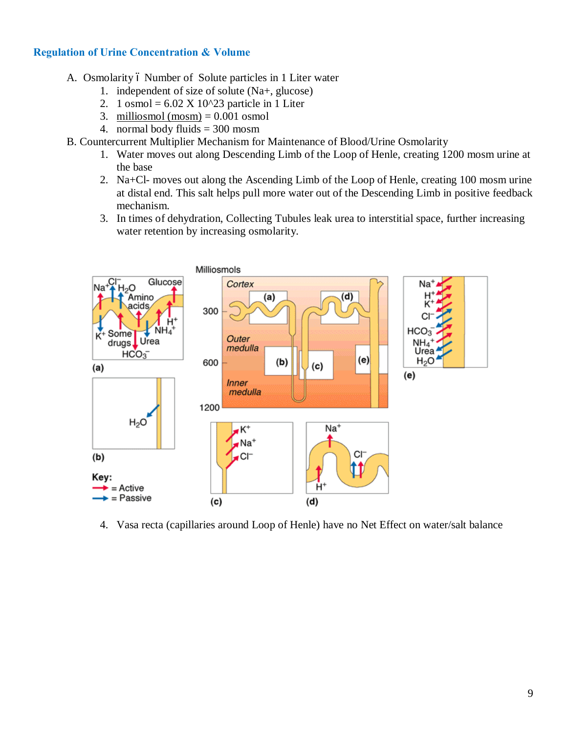### **Regulation of Urine Concentration & Volume**

- A. Osmolarity 6 Number of Solute particles in 1 Liter water
	- 1. independent of size of solute (Na+, glucose)
	- 2. 1 osmol =  $6.02$  X 10^23 particle in 1 Liter
	- 3. milliosmol (mosm)  $= 0.001$  osmol
	- 4. normal body fluids = 300 mosm
- B. Countercurrent Multiplier Mechanism for Maintenance of Blood/Urine Osmolarity
	- 1. Water moves out along Descending Limb of the Loop of Henle, creating 1200 mosm urine at the base
	- 2. Na+Cl- moves out along the Ascending Limb of the Loop of Henle, creating 100 mosm urine at distal end. This salt helps pull more water out of the Descending Limb in positive feedback mechanism.
	- 3. In times of dehydration, Collecting Tubules leak urea to interstitial space, further increasing water retention by increasing osmolarity.



4. Vasa recta (capillaries around Loop of Henle) have no Net Effect on water/salt balance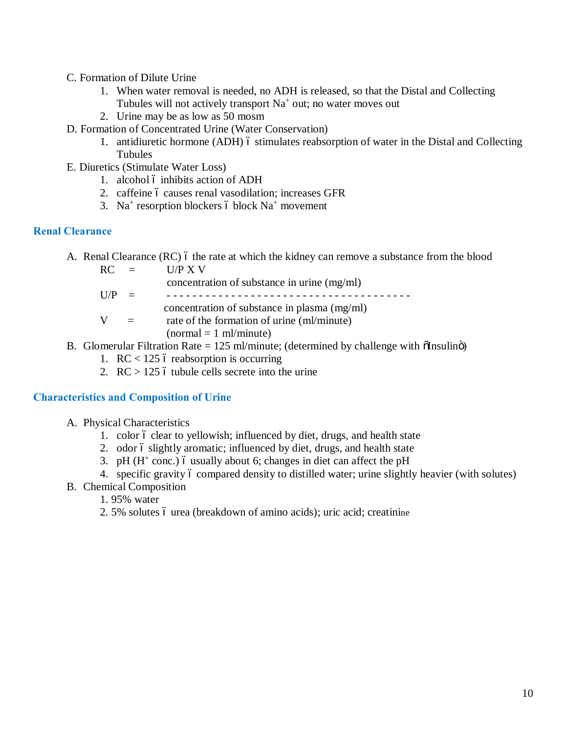- C. Formation of Dilute Urine
	- 1. When water removal is needed, no ADH is released, so that the Distal and Collecting Tubules will not actively transport  $Na<sup>+</sup>$  out; no water moves out
	- 2. Urine may be as low as 50 mosm
- D. Formation of Concentrated Urine (Water Conservation)
	- 1. antidiuretic hormone (ADH) 6 stimulates reabsorption of water in the Distal and Collecting Tubules
- E. Diuretics (Stimulate Water Loss)
	- 1. alcohol 6 inhibits action of ADH
	- 2. caffeine 6 causes renal vasodilation; increases GFR
	- 3. Na<sup>+</sup> resorption blockers 6 block Na<sup>+</sup> movement

#### **Renal Clearance**

A. Renal Clearance  $(RC)$  6 the rate at which the kidney can remove a substance from the blood

| $RC =$    |          | U/P X V                                      |
|-----------|----------|----------------------------------------------|
|           |          | concentration of substance in urine (mg/ml)  |
| $I$ $I/P$ | $\equiv$ |                                              |
|           |          | concentration of substance in plasma (mg/ml) |
|           |          | rate of the formation of urine (ml/minute)   |
|           |          | $normal = 1 ml/minute)$                      |

- B. Glomerular Filtration Rate =  $125$  ml/minute; (determined by challenge with  $\delta$ Insulin $\ddot{\text{o}}$ )
	- 1.  $RC < 125$  ó reabsorption is occurring
	- 2.  $RC > 125$  ó tubule cells secrete into the urine

#### **Characteristics and Composition of Urine**

- A. Physical Characteristics
	- 1. color 6 clear to yellowish; influenced by diet, drugs, and health state
	- 2. odor 6 slightly aromatic; influenced by diet, drugs, and health state
	- 3. pH  $(H^+$  conc.) 6 usually about 6; changes in diet can affect the pH
	- 4. specific gravity 6 compared density to distilled water; urine slightly heavier (with solutes)
- B. Chemical Composition
	- 1. 95% water
	- 2. 5% solutes 6 urea (breakdown of amino acids); uric acid; creatinine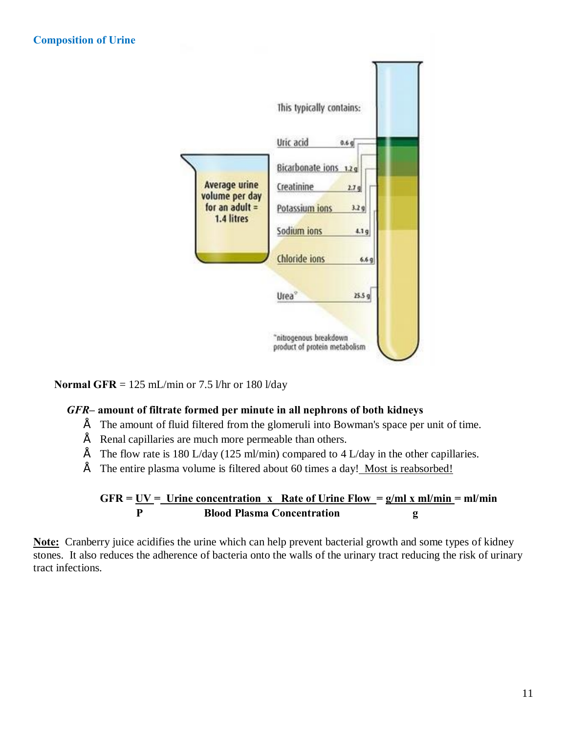

**Normal GFR** =  $125$  mL/min or 7.5 l/hr or 180 l/day

#### *GFR–* **amount of filtrate formed per minute in all nephrons of both kidneys**

- $\acute{E}$  The amount of fluid filtered from the glomeruli into Bowman's space per unit of time.
- $\acute{E}$  Renal capillaries are much more permeable than others.
- $\acute{E}$  The flow rate is 180 L/day (125 ml/min) compared to 4 L/day in the other capillaries.
- $\acute{E}$  The entire plasma volume is filtered about 60 times a day! Most is reabsorbed!

$$
GFR = \underbrace{UV}_{P} = \underbrace{Urine\ concentration\ x\ Rate\ of\ Urine Flow}_{B} = \underbrace{g/ml\ x\ ml/min}_{g} = ml/min
$$

**Note:** Cranberry juice acidifies the urine which can help prevent bacterial growth and some types of kidney stones. It also reduces the adherence of bacteria onto the walls of the urinary tract reducing the risk of urinary tract infections.